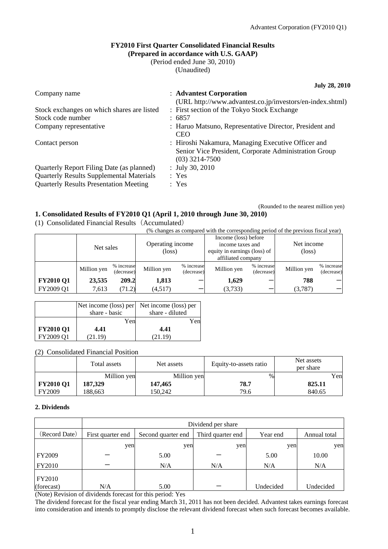(Rounded to the nearest million yen)

## **FY2010 First Quarter Consolidated Financial Results (Prepared in accordance with U.S. GAAP)**

(Period ended June 30, 2010)

(Unaudited)

**July 28, 2010** 

| Company name                                    | : Advantest Corporation                                                                                                         |
|-------------------------------------------------|---------------------------------------------------------------------------------------------------------------------------------|
|                                                 | (URL http://www.advantest.co.jp/investors/en-index.shtml)                                                                       |
| Stock exchanges on which shares are listed      | : First section of the Tokyo Stock Exchange                                                                                     |
| Stock code number                               | : 6857                                                                                                                          |
| Company representative                          | : Haruo Matsuno, Representative Director, President and<br><b>CEO</b>                                                           |
| Contact person                                  | : Hiroshi Nakamura, Managing Executive Officer and<br>Senior Vice President, Corporate Administration Group<br>$(03)$ 3214-7500 |
| Quarterly Report Filing Date (as planned)       | : July 30, 2010                                                                                                                 |
| <b>Quarterly Results Supplemental Materials</b> | : Yes                                                                                                                           |
| <b>Quarterly Results Presentation Meeting</b>   | : Yes                                                                                                                           |
|                                                 |                                                                                                                                 |

## **1. Consolidated Results of FY2010 Q1 (April 1, 2010 through June 30, 2010)**

(1) Consolidated Financial Results(Accumulated)

(% changes as compared with the corresponding period of the previous fiscal year)

|                  | Net sales   |                          | Operating income<br>$(\text{loss})$ |                          | Income (loss) before<br>income taxes and<br>equity in earnings (loss) of<br>affiliated company |                          | Net income<br>$(\text{loss})$ |                          |
|------------------|-------------|--------------------------|-------------------------------------|--------------------------|------------------------------------------------------------------------------------------------|--------------------------|-------------------------------|--------------------------|
|                  | Million yen | % increase<br>(decrease) | Million yen                         | % increase<br>(decrease) | Million yen                                                                                    | % increase<br>(decrease) | Million yen                   | % increase<br>(decrease) |
| <b>FY2010 Q1</b> | 23,535      | 209.2                    | 1,813                               |                          | 1,629                                                                                          |                          | 788                           |                          |
| FY2009 Q1        | 7,613       | (71.2)                   | (4,517)                             |                          | (3,733)                                                                                        |                          | (3,787)                       |                          |

|                  |               | Net income (loss) per Net income (loss) per |
|------------------|---------------|---------------------------------------------|
|                  | share - basic | share - diluted                             |
|                  | Yen           | Yen                                         |
| <b>FY2010 Q1</b> | 4.41          | 4.41                                        |
| FY2009 O1        | (21.19)       | (21.19)                                     |

## (2) Consolidated Financial Position

|                  | Total assets | Net assets  | Equity-to-assets ratio | Net assets<br>per share |
|------------------|--------------|-------------|------------------------|-------------------------|
|                  | Million yen  | Million yen | $\%$                   | Yen                     |
| <b>FY2010 Q1</b> | 187,329      | 147,465     | 78.7                   | 825.11                  |
| <b>FY2009</b>    | 188.663      | 150.242     | 79.6                   | 840.65                  |

#### **2. Dividends**

|                    | Dividend per share |                    |                   |           |              |  |
|--------------------|--------------------|--------------------|-------------------|-----------|--------------|--|
| (Record Date)      | First quarter end  | Second quarter end | Third quarter end | Year end  | Annual total |  |
|                    | yen                | yen                | yen               | yen       | yen          |  |
| <b>FY2009</b>      |                    | 5.00               |                   | 5.00      | 10.00        |  |
| FY2010             |                    | N/A                | N/A               | N/A       | N/A          |  |
| FY2010             |                    |                    |                   |           |              |  |
| (forecast)<br>$-1$ | N/A                | 5.00<br>.<br>.     |                   | Undecided | Undecided    |  |

(Note) Revision of dividends forecast for this period: Yes

The dividend forecast for the fiscal year ending March 31, 2011 has not been decided. Advantest takes earnings forecast into consideration and intends to promptly disclose the relevant dividend forecast when such forecast becomes available.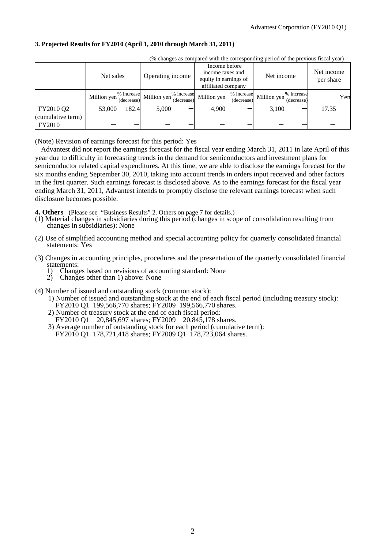## **3. Projected Results for FY2010 (April 1, 2010 through March 31, 2011)**

| (30 Changes as compared with the corresponding period of the previous riscar year) |             |            |                                                       |                          |                                                                                  |                          |             |                          |                         |     |
|------------------------------------------------------------------------------------|-------------|------------|-------------------------------------------------------|--------------------------|----------------------------------------------------------------------------------|--------------------------|-------------|--------------------------|-------------------------|-----|
|                                                                                    | Net sales   |            | Operating income                                      |                          | Income before<br>income taxes and<br>equity in earnings of<br>affiliated company |                          | Net income  |                          | Net income<br>per share |     |
|                                                                                    | Million yen | (decrease) | $\sim$ <sup>%</sup> increase Million yen <sup>"</sup> | % increase<br>(decrease) | Million yen                                                                      | % increase<br>(decrease) | Million yen | % increase<br>(decrease) |                         | Yen |
| FY2010 Q2<br>(cumulative term)                                                     | 53,000      | 182.4      | 5,000                                                 |                          | 4,900                                                                            |                          | 3,100       |                          | 17.35                   |     |
| <b>FY2010</b>                                                                      |             |            |                                                       |                          |                                                                                  |                          |             |                          |                         |     |

 $(0, 1, \ldots, 1, 0, 1, \ldots, 1, 0, 1, 0, 1, 0, 1, 0, 1, 0, 1, 0, 1, 0, 1, 0, 1, 0, 1, 0, 1, 0, 1, 0, 1, 0, 1, 0, 1, 0, 1, 0, 1, 0, 1, 0, 1, 0, 1, 0, 1, 0, 1, 0, 1, 0, 1, 0, 1, 0, 1, 0, 1, 0, 1, 0, 1, 0, 1, 0, 1, 0, 1, 0, 1, 0$ 

(Note) Revision of earnings forecast for this period: Yes

Advantest did not report the earnings forecast for the fiscal year ending March 31, 2011 in late April of this year due to difficulty in forecasting trends in the demand for semiconductors and investment plans for semiconductor related capital expenditures. At this time, we are able to disclose the earnings forecast for the six months ending September 30, 2010, taking into account trends in orders input received and other factors in the first quarter. Such earnings forecast is disclosed above. As to the earnings forecast for the fiscal year ending March 31, 2011, Advantest intends to promptly disclose the relevant earnings forecast when such disclosure becomes possible.

**4. Others** (Please see "Business Results" 2. Others on page 7 for details.)

- (1) Material changes in subsidiaries during this period (changes in scope of consolidation resulting from changes in subsidiaries): None
- (2) Use of simplified accounting method and special accounting policy for quarterly consolidated financial statements: Yes
- (3) Changes in accounting principles, procedures and the presentation of the quarterly consolidated financial statements:
	- 1) Changes based on revisions of accounting standard: None
	- 2) Changes other than 1) above: None
- (4) Number of issued and outstanding stock (common stock):
	- 1) Number of issued and outstanding stock at the end of each fiscal period (including treasury stock): FY2010 Q1 199,566,770 shares; FY2009 199,566,770 shares.
	- 2) Number of treasury stock at the end of each fiscal period:
	- FY2010 Q1 20,845,697 shares; FY2009 20,845,178 shares.
	- 3) Average number of outstanding stock for each period (cumulative term): FY2010 Q1 178,721,418 shares; FY2009 Q1 178,723,064 shares.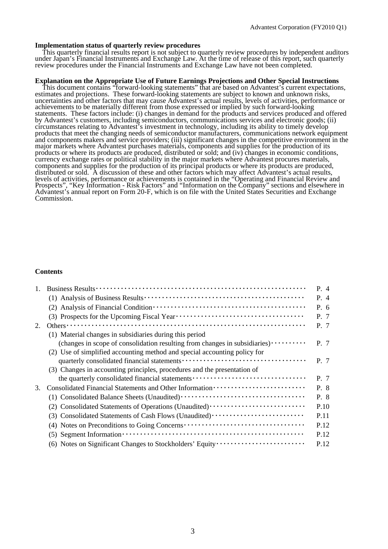#### **Implementation status of quarterly review procedures**

This quarterly financial results report is not subject to quarterly review procedures by independent auditors under Japan's Financial Instruments and Exchange Law. At the time of release of this report, such quarterly review procedures under the Financial Instruments and Exchange Law have not been completed.

#### **Explanation on the Appropriate Use of Future Earnings Projections and Other Special Instructions**

This document contains "forward-looking statements" that are based on Advantest's current expectations, estimates and projections. These forward-looking statements are subject to known and unknown risks, uncertainties and other factors that may cause Advantest's actual results, levels of activities, performance or achievements to be materially different from those expressed or implied by such forward-looking statements. These factors include: (i) changes in demand for the products and services produced and offered by Advantest's customers, including semiconductors, communications services and electronic goods; (ii) circumstances relating to Advantest's investment in technology, including its ability to timely develop products that meet the changing needs of semiconductor manufacturers, communications network equipment and components makers and service providers; (iii) significant changes in the competitive environment in the major markets where Advantest purchases materials, components and supplies for the production of its products or where its products are produced, distributed or sold; and (iv) changes in economic conditions, currency exchange rates or political stability in the major markets where Advantest procures materials, components and supplies for the production of its principal products or where its products are produced, distributed or sold. A discussion of these and other factors which may affect Advantest's actual results, levels of activities, performance or achievements is contained in the "Operating and Financial Review and Prospects", "Key Information - Risk Factors" and "Information on the Company" sections and elsewhere in Advantest's annual report on Form 20-F, which is on file with the United States Securities and Exchange Commission.

#### **Contents**

| 1. |                                                                                                                                       | P. 4 |
|----|---------------------------------------------------------------------------------------------------------------------------------------|------|
|    |                                                                                                                                       | P. 4 |
|    |                                                                                                                                       | P. 6 |
|    |                                                                                                                                       | P. 7 |
| 2. |                                                                                                                                       | P. 7 |
|    | (1) Material changes in subsidiaries during this period                                                                               |      |
|    | (changes in scope of consolidation resulting from changes in subsidiaries)                                                            | P. 7 |
|    | (2) Use of simplified accounting method and special accounting policy for                                                             |      |
|    |                                                                                                                                       | P. 7 |
|    | (3) Changes in accounting principles, procedures and the presentation of                                                              |      |
|    | the quarterly consolidated financial statements                                                                                       | P. 7 |
| 3. |                                                                                                                                       | P. 8 |
|    |                                                                                                                                       | P. 8 |
|    |                                                                                                                                       | P.10 |
|    | (3) Consolidated Statements of Cash Flows (Unaudited)                                                                                 | P.11 |
|    |                                                                                                                                       | P.12 |
|    | $(5)$ Segment Information $\cdots$ $\cdots$ $\cdots$ $\cdots$ $\cdots$ $\cdots$ $\cdots$ $\cdots$ $\cdots$ $\cdots$ $\cdots$ $\cdots$ | P.12 |
|    | (6) Notes on Significant Changes to Stockholders' Equity                                                                              | P.12 |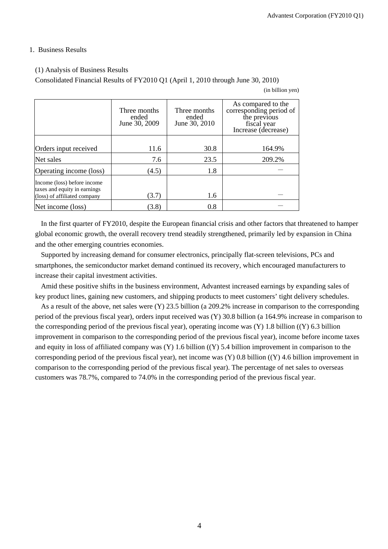### 1. Business Results

### (1) Analysis of Business Results

Consolidated Financial Results of FY2010 Q1 (April 1, 2010 through June 30, 2010)

(in billion yen)

|                                                                                             | Three months<br>ended<br>June 30, 2009 | Three months<br>ended<br>June 30, 2010 | As compared to the<br>corresponding period of<br>the previous<br>fiscal year<br>Increase (decrease) |
|---------------------------------------------------------------------------------------------|----------------------------------------|----------------------------------------|-----------------------------------------------------------------------------------------------------|
| Orders input received                                                                       | 11.6                                   | 30.8                                   | 164.9%                                                                                              |
| Net sales                                                                                   | 7.6                                    | 23.5                                   | 209.2%                                                                                              |
| Operating income (loss)                                                                     | (4.5)                                  | 1.8                                    |                                                                                                     |
| Income (loss) before income<br>taxes and equity in earnings<br>(loss) of affiliated company | (3.7)                                  | 1.6                                    |                                                                                                     |
| Net income (loss)                                                                           | (3.8)                                  | 0.8                                    |                                                                                                     |

In the first quarter of FY2010, despite the European financial crisis and other factors that threatened to hamper global economic growth, the overall recovery trend steadily strengthened, primarily led by expansion in China and the other emerging countries economies.

Supported by increasing demand for consumer electronics, principally flat-screen televisions, PCs and smartphones, the semiconductor market demand continued its recovery, which encouraged manufacturers to increase their capital investment activities.

Amid these positive shifts in the business environment, Advantest increased earnings by expanding sales of key product lines, gaining new customers, and shipping products to meet customers' tight delivery schedules.

As a result of the above, net sales were (Y) 23.5 billion (a 209.2% increase in comparison to the corresponding period of the previous fiscal year), orders input received was (Y) 30.8 billion (a 164.9% increase in comparison to the corresponding period of the previous fiscal year), operating income was (Y) 1.8 billion ((Y) 6.3 billion improvement in comparison to the corresponding period of the previous fiscal year), income before income taxes and equity in loss of affiliated company was (Y) 1.6 billion ((Y) 5.4 billion improvement in comparison to the corresponding period of the previous fiscal year), net income was  $(Y)$  0.8 billion  $((Y)$  4.6 billion improvement in comparison to the corresponding period of the previous fiscal year). The percentage of net sales to overseas customers was 78.7%, compared to 74.0% in the corresponding period of the previous fiscal year.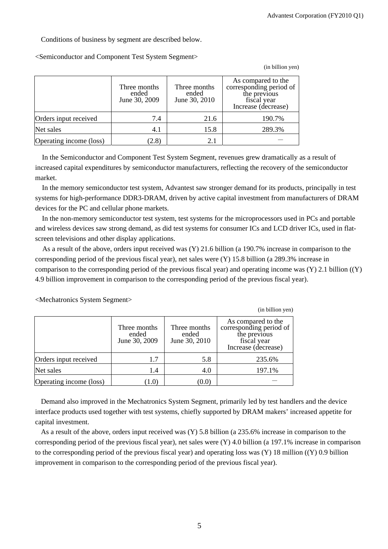(in billion yen)

Conditions of business by segment are described below.

<Semiconductor and Component Test System Segment>

|                         | Three months<br>ended<br>June 30, 2009 | Three months<br>ended<br>June 30, 2010 | As compared to the<br>corresponding period of<br>the previous<br>fiscal year<br>Increase (decrease) |
|-------------------------|----------------------------------------|----------------------------------------|-----------------------------------------------------------------------------------------------------|
| Orders input received   | 7.4                                    | 21.6                                   | 190.7%                                                                                              |
| Net sales               | 4.1                                    | 15.8                                   | 289.3%                                                                                              |
| Operating income (loss) | (2.8)                                  | 2.1                                    |                                                                                                     |

In the Semiconductor and Component Test System Segment, revenues grew dramatically as a result of increased capital expenditures by semiconductor manufacturers, reflecting the recovery of the semiconductor market.

In the memory semiconductor test system, Advantest saw stronger demand for its products, principally in test systems for high-performance DDR3-DRAM, driven by active capital investment from manufacturers of DRAM devices for the PC and cellular phone markets.

In the non-memory semiconductor test system, test systems for the microprocessors used in PCs and portable and wireless devices saw strong demand, as did test systems for consumer ICs and LCD driver ICs, used in flatscreen televisions and other display applications.

As a result of the above, orders input received was (Y) 21.6 billion (a 190.7% increase in comparison to the corresponding period of the previous fiscal year), net sales were (Y) 15.8 billion (a 289.3% increase in comparison to the corresponding period of the previous fiscal year) and operating income was  $(Y)$  2.1 billion  $((Y)$ 4.9 billion improvement in comparison to the corresponding period of the previous fiscal year).

|                         |                                        |                                        | (in billion yen)                                                                                    |
|-------------------------|----------------------------------------|----------------------------------------|-----------------------------------------------------------------------------------------------------|
|                         | Three months<br>ended<br>June 30, 2009 | Three months<br>ended<br>June 30, 2010 | As compared to the<br>corresponding period of<br>the previous<br>fiscal year<br>Increase (decrease) |
| Orders input received   | 1.7                                    | 5.8                                    | 235.6%                                                                                              |
| Net sales               | 1.4                                    | 4.0                                    | 197.1%                                                                                              |
| Operating income (loss) | 1.0                                    | (0.0)                                  |                                                                                                     |

<Mechatronics System Segment>

Demand also improved in the Mechatronics System Segment, primarily led by test handlers and the device interface products used together with test systems, chiefly supported by DRAM makers' increased appetite for capital investment.

As a result of the above, orders input received was (Y) 5.8 billion (a 235.6% increase in comparison to the corresponding period of the previous fiscal year), net sales were (Y) 4.0 billion (a 197.1% increase in comparison to the corresponding period of the previous fiscal year) and operating loss was (Y) 18 million ((Y) 0.9 billion improvement in comparison to the corresponding period of the previous fiscal year).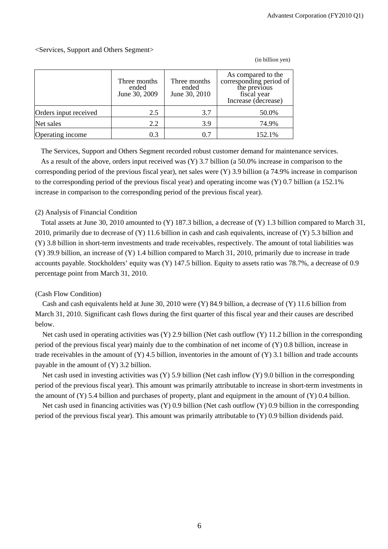### <Services, Support and Others Segment>

|                       | Three months<br>ended<br>June 30, 2009 | Three months<br>ended<br>June 30, 2010 | As compared to the<br>corresponding period of<br>the previous<br>fiscal year<br>Increase (decrease) |
|-----------------------|----------------------------------------|----------------------------------------|-----------------------------------------------------------------------------------------------------|
| Orders input received | 2.5                                    | 3.7                                    | 50.0%                                                                                               |
| Net sales             | 2.2                                    | 3.9                                    | 74.9%                                                                                               |
| Operating income      | 0.3                                    | 0.7                                    | 152.1%                                                                                              |

(in billion yen)

The Services, Support and Others Segment recorded robust customer demand for maintenance services.

As a result of the above, orders input received was (Y) 3.7 billion (a 50.0% increase in comparison to the corresponding period of the previous fiscal year), net sales were (Y) 3.9 billion (a 74.9% increase in comparison to the corresponding period of the previous fiscal year) and operating income was (Y) 0.7 billion (a 152.1% increase in comparison to the corresponding period of the previous fiscal year).

#### (2) Analysis of Financial Condition

Total assets at June 30, 2010 amounted to (Y) 187.3 billion, a decrease of (Y) 1.3 billion compared to March 31, 2010, primarily due to decrease of (Y) 11.6 billion in cash and cash equivalents, increase of (Y) 5.3 billion and (Y) 3.8 billion in short-term investments and trade receivables, respectively. The amount of total liabilities was (Y) 39.9 billion, an increase of (Y) 1.4 billion compared to March 31, 2010, primarily due to increase in trade accounts payable. Stockholders' equity was (Y) 147.5 billion. Equity to assets ratio was 78.7%, a decrease of 0.9 percentage point from March 31, 2010.

## (Cash Flow Condition)

Cash and cash equivalents held at June 30, 2010 were (Y) 84.9 billion, a decrease of (Y) 11.6 billion from March 31, 2010. Significant cash flows during the first quarter of this fiscal year and their causes are described below.

Net cash used in operating activities was (Y) 2.9 billion (Net cash outflow (Y) 11.2 billion in the corresponding period of the previous fiscal year) mainly due to the combination of net income of (Y) 0.8 billion, increase in trade receivables in the amount of  $(Y)$  4.5 billion, inventories in the amount of  $(Y)$  3.1 billion and trade accounts payable in the amount of (Y) 3.2 billion.

Net cash used in investing activities was (Y) 5.9 billion (Net cash inflow (Y) 9.0 billion in the corresponding period of the previous fiscal year). This amount was primarily attributable to increase in short-term investments in the amount of (Y) 5.4 billion and purchases of property, plant and equipment in the amount of (Y) 0.4 billion.

Net cash used in financing activities was (Y) 0.9 billion (Net cash outflow (Y) 0.9 billion in the corresponding period of the previous fiscal year). This amount was primarily attributable to (Y) 0.9 billion dividends paid.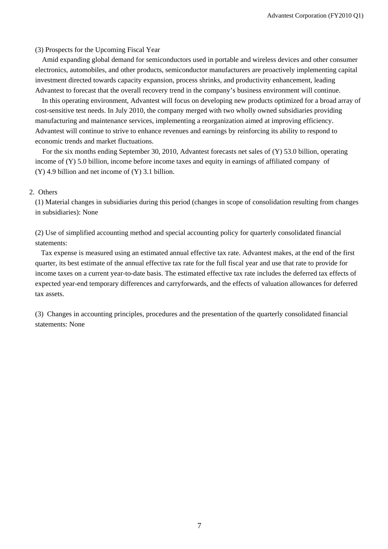(3) Prospects for the Upcoming Fiscal Year

Amid expanding global demand for semiconductors used in portable and wireless devices and other consumer electronics, automobiles, and other products, semiconductor manufacturers are proactively implementing capital investment directed towards capacity expansion, process shrinks, and productivity enhancement, leading Advantest to forecast that the overall recovery trend in the company's business environment will continue.

In this operating environment, Advantest will focus on developing new products optimized for a broad array of cost-sensitive test needs. In July 2010, the company merged with two wholly owned subsidiaries providing manufacturing and maintenance services, implementing a reorganization aimed at improving efficiency. Advantest will continue to strive to enhance revenues and earnings by reinforcing its ability to respond to economic trends and market fluctuations.

For the six months ending September 30, 2010, Advantest forecasts net sales of (Y) 53.0 billion, operating income of (Y) 5.0 billion, income before income taxes and equity in earnings of affiliated company of (Y) 4.9 billion and net income of (Y) 3.1 billion.

#### 2. Others

(1) Material changes in subsidiaries during this period (changes in scope of consolidation resulting from changes in subsidiaries): None

(2) Use of simplified accounting method and special accounting policy for quarterly consolidated financial statements:

Tax expense is measured using an estimated annual effective tax rate. Advantest makes, at the end of the first quarter, its best estimate of the annual effective tax rate for the full fiscal year and use that rate to provide for income taxes on a current year-to-date basis. The estimated effective tax rate includes the deferred tax effects of expected year-end temporary differences and carryforwards, and the effects of valuation allowances for deferred tax assets.

(3) Changes in accounting principles, procedures and the presentation of the quarterly consolidated financial statements: None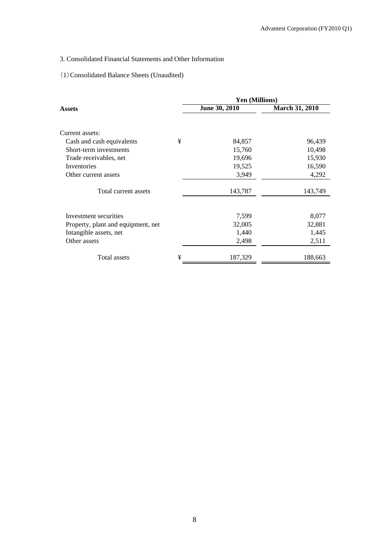# 3. Consolidated Financial Statements and Other Information

# (1)Consolidated Balance Sheets (Unaudited)

|                                    |   | <b>Yen (Millions)</b> |                       |
|------------------------------------|---|-----------------------|-----------------------|
| Assets                             |   | June 30, 2010         | <b>March 31, 2010</b> |
|                                    |   |                       |                       |
| Current assets:                    |   |                       |                       |
| Cash and cash equivalents          | ¥ | 84,857                | 96,439                |
| Short-term investments             |   | 15,760                | 10,498                |
| Trade receivables, net             |   | 19,696                | 15,930                |
| Inventories                        |   | 19,525                | 16,590                |
| Other current assets               |   | 3,949                 | 4,292                 |
| Total current assets               |   | 143,787               | 143,749               |
|                                    |   |                       |                       |
| Investment securities              |   | 7,599                 | 8,077                 |
| Property, plant and equipment, net |   | 32,005                | 32,881                |
| Intangible assets, net             |   | 1,440                 | 1,445                 |
| Other assets                       |   | 2,498                 | 2,511                 |
| <b>Total assets</b>                | ¥ | 187,329               | 188,663               |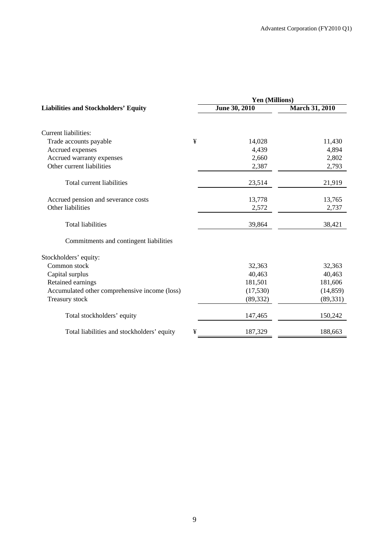|                                               |   | Yen (Millions) |                       |  |  |
|-----------------------------------------------|---|----------------|-----------------------|--|--|
| <b>Liabilities and Stockholders' Equity</b>   |   | June 30, 2010  | <b>March 31, 2010</b> |  |  |
| Current liabilities:                          |   |                |                       |  |  |
| Trade accounts payable                        | ¥ | 14,028         | 11,430                |  |  |
| Accrued expenses                              |   | 4,439          | 4,894                 |  |  |
| Accrued warranty expenses                     |   | 2,660          | 2,802                 |  |  |
| Other current liabilities                     |   | 2,387          | 2,793                 |  |  |
| Total current liabilities                     |   | 23,514         | 21,919                |  |  |
| Accrued pension and severance costs           |   | 13,778         | 13,765                |  |  |
| Other liabilities                             |   | 2,572          | 2,737                 |  |  |
| <b>Total liabilities</b>                      |   | 39,864         | 38,421                |  |  |
| Commitments and contingent liabilities        |   |                |                       |  |  |
| Stockholders' equity:                         |   |                |                       |  |  |
| Common stock                                  |   | 32,363         | 32,363                |  |  |
| Capital surplus                               |   | 40,463         | 40,463                |  |  |
| Retained earnings                             |   | 181,501        | 181,606               |  |  |
| Accumulated other comprehensive income (loss) |   | (17, 530)      | (14, 859)             |  |  |
| Treasury stock                                |   | (89, 332)      | (89, 331)             |  |  |
| Total stockholders' equity                    |   | 147,465        | 150,242               |  |  |
| Total liabilities and stockholders' equity    | ¥ | 187,329        | 188,663               |  |  |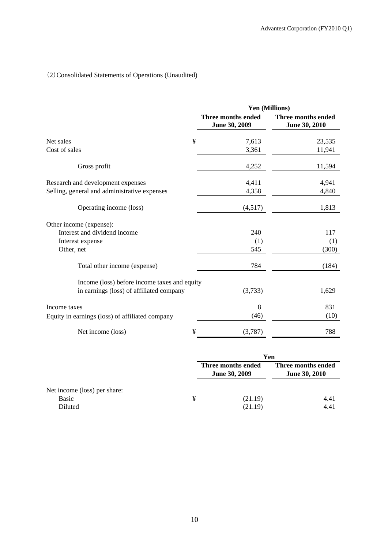# (2)Consolidated Statements of Operations (Unaudited)

|                                                 | Yen (Millions)                             |                                     |  |  |
|-------------------------------------------------|--------------------------------------------|-------------------------------------|--|--|
|                                                 | <b>Three months ended</b><br>June 30, 2009 | Three months ended<br>June 30, 2010 |  |  |
| ¥<br>Net sales                                  | 7,613                                      | 23,535                              |  |  |
| Cost of sales                                   | 3,361                                      | 11,941                              |  |  |
| Gross profit                                    | 4,252                                      | 11,594                              |  |  |
| Research and development expenses               | 4,411                                      | 4,941                               |  |  |
| Selling, general and administrative expenses    | 4,358                                      | 4,840                               |  |  |
| Operating income (loss)                         | (4,517)                                    | 1,813                               |  |  |
| Other income (expense):                         |                                            |                                     |  |  |
| Interest and dividend income                    | 240                                        | 117                                 |  |  |
| Interest expense                                | (1)                                        | (1)                                 |  |  |
| Other, net                                      | 545                                        | (300)                               |  |  |
| Total other income (expense)                    | 784                                        | (184)                               |  |  |
| Income (loss) before income taxes and equity    |                                            |                                     |  |  |
| in earnings (loss) of affiliated company        | (3,733)                                    | 1,629                               |  |  |
| Income taxes                                    | 8                                          | 831                                 |  |  |
| Equity in earnings (loss) of affiliated company | (46)                                       | (10)                                |  |  |
| ¥<br>Net income (loss)                          | (3,787)                                    | 788                                 |  |  |

|                              |   | Yen                                        |                                            |  |
|------------------------------|---|--------------------------------------------|--------------------------------------------|--|
|                              |   | Three months ended<br><b>June 30, 2009</b> | Three months ended<br><b>June 30, 2010</b> |  |
| Net income (loss) per share: |   |                                            |                                            |  |
| <b>Basic</b>                 | ¥ | (21.19)                                    | 4.41                                       |  |
| Diluted                      |   | (21.19)                                    | 4.41                                       |  |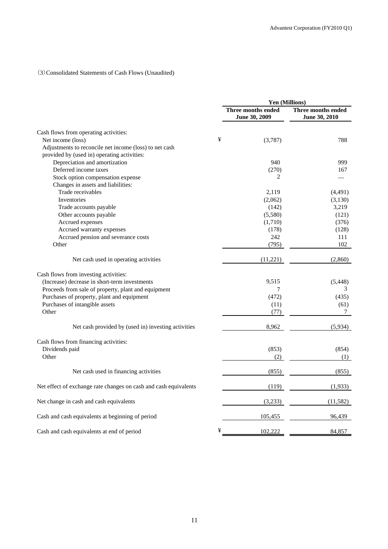# (3)Consolidated Statements of Cash Flows (Unaudited)

|                                                                  |   | <b>Yen (Millions)</b>               |                                     |  |
|------------------------------------------------------------------|---|-------------------------------------|-------------------------------------|--|
|                                                                  |   | Three months ended<br>June 30, 2009 | Three months ended<br>June 30, 2010 |  |
| Cash flows from operating activities:                            |   |                                     |                                     |  |
| Net income (loss)                                                | ¥ | (3,787)                             | 788                                 |  |
| Adjustments to reconcile net income (loss) to net cash           |   |                                     |                                     |  |
| provided by (used in) operating activities:                      |   |                                     |                                     |  |
| Depreciation and amortization                                    |   | 940                                 | 999                                 |  |
| Deferred income taxes                                            |   | (270)                               | 167                                 |  |
| Stock option compensation expense                                |   | 2                                   |                                     |  |
| Changes in assets and liabilities:                               |   |                                     |                                     |  |
| Trade receivables                                                |   | 2,119                               | (4,491)                             |  |
| Inventories                                                      |   | (2,062)                             | (3,130)                             |  |
| Trade accounts payable                                           |   | (142)                               | 3,219                               |  |
| Other accounts payable                                           |   | (5,580)                             | (121)                               |  |
| Accrued expenses                                                 |   | (1,710)                             | (376)                               |  |
| Accrued warranty expenses                                        |   | (178)                               | (128)                               |  |
| Accrued pension and severance costs                              |   | 242                                 | 111                                 |  |
| Other                                                            |   | (795)                               | 102                                 |  |
|                                                                  |   |                                     |                                     |  |
| Net cash used in operating activities                            |   | (11, 221)                           | (2,860)                             |  |
| Cash flows from investing activities:                            |   |                                     |                                     |  |
| (Increase) decrease in short-term investments                    |   | 9,515                               | (5, 448)                            |  |
| Proceeds from sale of property, plant and equipment              |   | $\overline{7}$                      | 3                                   |  |
| Purchases of property, plant and equipment                       |   | (472)                               | (435)                               |  |
| Purchases of intangible assets                                   |   | (11)                                | (61)                                |  |
| Other                                                            |   | (77)                                | $\tau$                              |  |
|                                                                  |   |                                     |                                     |  |
| Net cash provided by (used in) investing activities              |   | 8,962                               | (5,934)                             |  |
| Cash flows from financing activities:                            |   |                                     |                                     |  |
| Dividends paid                                                   |   | (853)                               | (854)                               |  |
| Other                                                            |   | (2)                                 | (1)                                 |  |
|                                                                  |   |                                     |                                     |  |
| Net cash used in financing activities                            |   | (855)                               | (855)                               |  |
| Net effect of exchange rate changes on cash and cash equivalents |   | (119)                               | (1,933)                             |  |
| Net change in cash and cash equivalents                          |   | (3,233)                             | (11, 582)                           |  |
| Cash and cash equivalents at beginning of period                 |   | 105,455                             | 96,439                              |  |
| Cash and cash equivalents at end of period                       | ¥ | 102,222                             | 84,857                              |  |